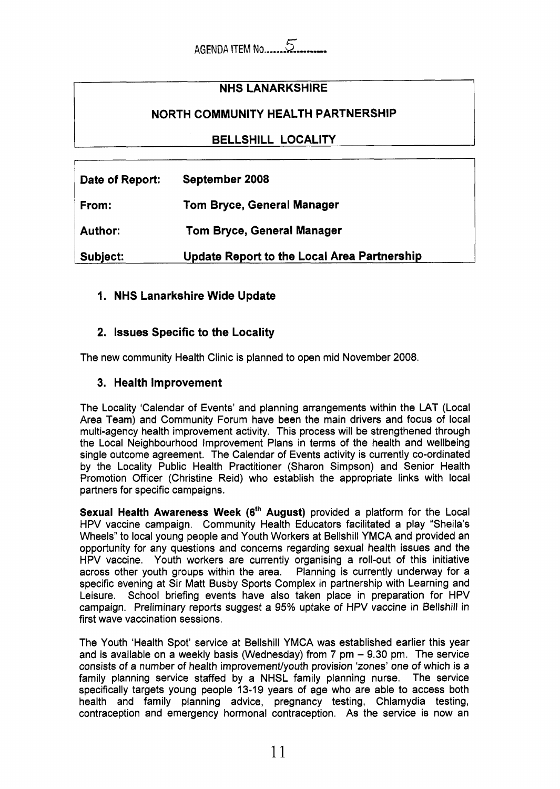# **NHS LANARKSHIRE**

### **NORTH COMMUNITY HEALTH PARTNERSHIP**

### **BELLSHILL LOCALITY**

| Date of Report: | September 2008                              |
|-----------------|---------------------------------------------|
| From:           | Tom Bryce, General Manager                  |
| <b>Author:</b>  | <b>Tom Bryce, General Manager</b>           |
| Subject:        | Update Report to the Local Area Partnership |

#### **1. NHS Lanarkshire Wide Update**

### **2. Issues Specific to the Locality**

The new community Health Clinic is planned to open mid November 2008.

#### **3. Health Improvement**

The Locality 'Calendar of Events' and planning arrangements within the LAT (Local Area Team) and Community Forum have been the main drivers and focus of local multi-agency health improvement activity. This process will be strengthened through the Local Neighbourhood Improvement Plans in terms of the health and wellbeing single outcome agreement. The Calendar of Events activity is currently co-ordinated by the Locality Public Health Practitioner (Sharon Simpson) and Senior Health Promotion Officer (Christine Reid) who establish the appropriate links with local partners for specific campaigns.

**Sexual Health Awareness Week (6<sup>th</sup> August)** provided a platform for the Local HPV vaccine campaign. Community Health Educators facilitated a play "Sheila's Wheels" to local young people and Youth Workers at Bellshill YMCA and provided an opportunity for any questions and concerns regarding sexual health issues and the HPV vaccine. Youth workers are currently organising a roll-out of this initiative across other youth groups within the area. Planning is currently underway for a specific evening at Sir Matt Busby Sports Complex in partnership with Learning and Leisure. School briefing events have also taken place in preparation for HPV campaign. Preliminary reports suggest a 95% uptake of HPV vaccine in Bellshill in first wave vaccination sessions.

The Youth 'Health Spot' service at Bellshill YMCA was established earlier this year and is available on a weekly basis (Wednesday) from  $7 \text{ pm} - 9.30 \text{ pm}$ . The service consists *of* a number of health improvementlyouth provision 'zones' one of which is **a**  family planning service staffed by a NHSL family planning nurse. The service specifically targets young people 13-19 years of age who are able to access both health and family planning advice, pregnancy testing, Chlamydia testing, contraception and emergency hormonal contraception. As the service is now an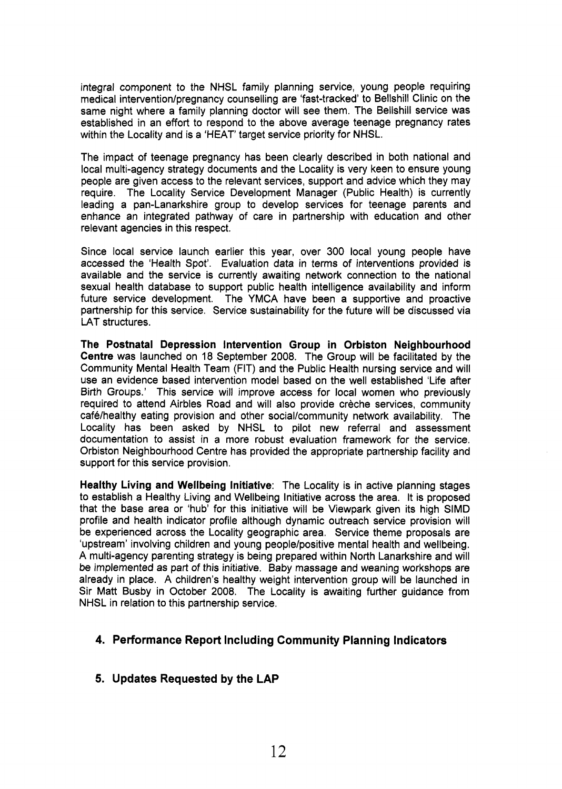integral component to the NHSL family planning service, young people requiring medical intervention/pregnancy counselling are 'fast-tracked' to Bellshill Clinic on the same night where a family planning doctor will see them. The Bellshill service was established in an effort to respond to the above average teenage pregnancy rates within the Locality and **is** a 'HEAT' target service priority for NHSL.

The impact of teenage pregnancy has been clearly described in both national and local multi-agency strategy documents and the Locality is very keen to ensure young people are given access to the relevant services, support and advice which they may require. The Locality Service Development Manager (Public Health) is currently leading a pan-Lanarkshire group to develop services for teenage parents and enhance an integrated pathway of care in partnership with education and other relevant agencies in this respect.

Since local service launch earlier this year, over 300 local young people have accessed the 'Health Spot'. Evaluation data in terms of interventions provided is available and the service is currently awaiting network connection to the national sexual health database to support public health intelligence availability and inform future service development. The YMCA have been a supportive and proactive partnership for this service. Service sustainability for the future will be discussed via LAT structures.

**The Postnatal Depression Intervention Group in Orbiston Neighbourhood Centre** was launched on 18 September 2008. The Group will be facilitated by the Community Mental Health Team (FIT) and the Public Health nursing service and will use an evidence based intervention model based on the well established 'Life after Birth Groups.' This service will improve access for local women who previously required to attend Airbles Road and will also provide crèche services, community café/healthy eating provision and other social/community network availability. The Locality has been asked by NHSL to pilot new referral and assessment documentation to assist in a more robust evaluation framework for the service. Orbiston Neighbourhood Centre has provided the appropriate partnership facility and support for this service provision.

**Healthy Living and Wellbeing Initiative:** The Locality is in active planning stages to establish a Healthy Living and Wellbeing Initiative across the area. It is proposed that the base area or 'hub' for this initiative will be Viewpark given its high SlMD profile and health indicator profile although dynamic outreach service provision will be experienced across the Locality geographic area. Service theme proposals are 'upstream' involving children and young people/positive mental health and wellbeing. A multi-agency parenting strategy is being prepared within North Lanarkshire and will be implemented as part of this initiative. Baby massage and weaning workshops are already in place. A children's healthy weight intervention group will be launched in Sir Matt Busby in October 2008. The Locality is awaiting further guidance from NHSL in relation to this partnership service.

#### **4. Performance Report Including Community Planning Indicators**

#### **5. Updates Requested by the LAP**